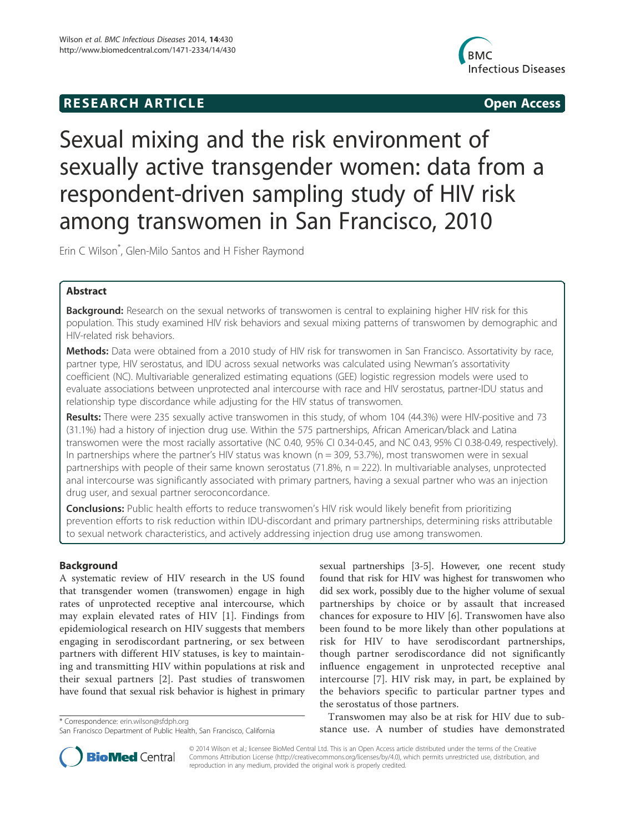## **RESEARCH ARTICLE Example 2014 CONSIDERING CONSIDERING CONSIDERING CONSIDERING CONSIDERING CONSIDERING CONSIDERING CONSIDERING CONSIDERING CONSIDERING CONSIDERING CONSIDERING CONSIDERING CONSIDERING CONSIDERING CONSIDE**



# Sexual mixing and the risk environment of sexually active transgender women: data from a respondent-driven sampling study of HIV risk among transwomen in San Francisco, 2010

Erin C Wilson\* , Glen-Milo Santos and H Fisher Raymond

## Abstract

Background: Research on the sexual networks of transwomen is central to explaining higher HIV risk for this population. This study examined HIV risk behaviors and sexual mixing patterns of transwomen by demographic and HIV-related risk behaviors.

Methods: Data were obtained from a 2010 study of HIV risk for transwomen in San Francisco. Assortativity by race, partner type, HIV serostatus, and IDU across sexual networks was calculated using Newman's assortativity coefficient (NC). Multivariable generalized estimating equations (GEE) logistic regression models were used to evaluate associations between unprotected anal intercourse with race and HIV serostatus, partner-IDU status and relationship type discordance while adjusting for the HIV status of transwomen.

Results: There were 235 sexually active transwomen in this study, of whom 104 (44.3%) were HIV-positive and 73 (31.1%) had a history of injection drug use. Within the 575 partnerships, African American/black and Latina transwomen were the most racially assortative (NC 0.40, 95% CI 0.34-0.45, and NC 0.43, 95% CI 0.38-0.49, respectively). In partnerships where the partner's HIV status was known ( $n = 309$ , 53.7%), most transwomen were in sexual partnerships with people of their same known serostatus (71.8%, n = 222). In multivariable analyses, unprotected anal intercourse was significantly associated with primary partners, having a sexual partner who was an injection drug user, and sexual partner seroconcordance.

**Conclusions:** Public health efforts to reduce transwomen's HIV risk would likely benefit from prioritizing prevention efforts to risk reduction within IDU-discordant and primary partnerships, determining risks attributable to sexual network characteristics, and actively addressing injection drug use among transwomen.

## Background

A systematic review of HIV research in the US found that transgender women (transwomen) engage in high rates of unprotected receptive anal intercourse, which may explain elevated rates of HIV [1]. Findings from epidemiological research on HIV suggests that members engaging in serodiscordant partnering, or sex between partners with different HIV statuses, is key to maintaining and transmitting HIV within populations at risk and their sexual partners [2]. Past studies of transwomen have found that sexual risk behavior is highest in primary

sexual partnerships [3-5]. However, one recent study found that risk for HIV was highest for transwomen who did sex work, possibly due to the higher volume of sexual partnerships by choice or by assault that increased chances for exposure to HIV [6]. Transwomen have also been found to be more likely than other populations at risk for HIV to have serodiscordant partnerships, though partner serodiscordance did not significantly influence engagement in unprotected receptive anal intercourse [7]. HIV risk may, in part, be explained by the behaviors specific to particular partner types and the serostatus of those partners.

Transwomen may also be at risk for HIV due to substance erin.wilson@sfdph.org<br>San Francisco Department of Public Health. San Francisco. California **\* Examplement of studies have demonstrated** 



© 2014 Wilson et al.; licensee BioMed Central Ltd. This is an Open Access article distributed under the terms of the Creative Commons Attribution License (http://creativecommons.org/licenses/by/4.0), which permits unrestricted use, distribution, and reproduction in any medium, provided the original work is properly credited.

San Francisco Department of Public Health, San Francisco, California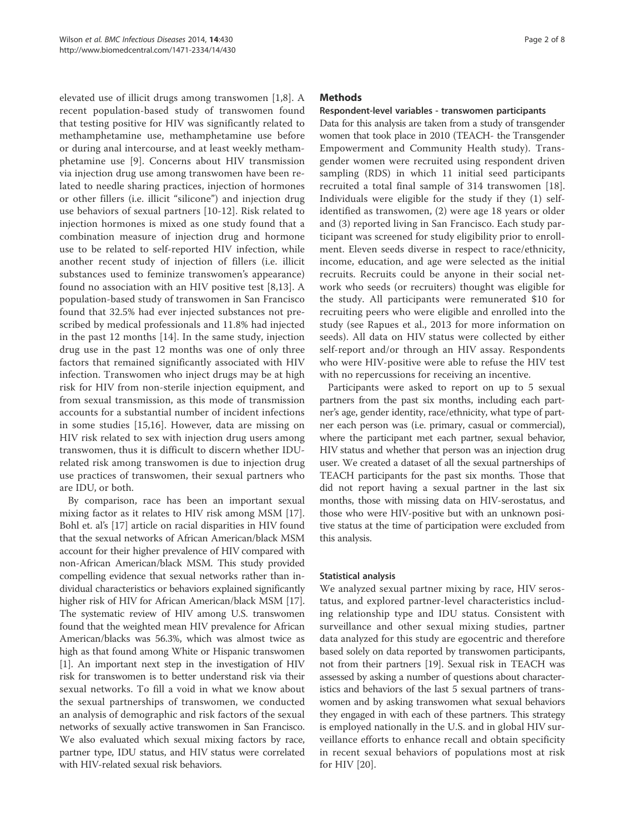elevated use of illicit drugs among transwomen [1,8]. A recent population-based study of transwomen found that testing positive for HIV was significantly related to methamphetamine use, methamphetamine use before or during anal intercourse, and at least weekly methamphetamine use [9]. Concerns about HIV transmission via injection drug use among transwomen have been related to needle sharing practices, injection of hormones or other fillers (i.e. illicit "silicone") and injection drug use behaviors of sexual partners [10-12]. Risk related to injection hormones is mixed as one study found that a combination measure of injection drug and hormone use to be related to self-reported HIV infection, while another recent study of injection of fillers (i.e. illicit substances used to feminize transwomen's appearance) found no association with an HIV positive test [8,13]. A population-based study of transwomen in San Francisco found that 32.5% had ever injected substances not prescribed by medical professionals and 11.8% had injected in the past 12 months [14]. In the same study, injection drug use in the past 12 months was one of only three factors that remained significantly associated with HIV infection. Transwomen who inject drugs may be at high risk for HIV from non-sterile injection equipment, and from sexual transmission, as this mode of transmission accounts for a substantial number of incident infections in some studies [15,16]. However, data are missing on HIV risk related to sex with injection drug users among transwomen, thus it is difficult to discern whether IDUrelated risk among transwomen is due to injection drug use practices of transwomen, their sexual partners who are IDU, or both.

By comparison, race has been an important sexual mixing factor as it relates to HIV risk among MSM [17]. Bohl et. al's [17] article on racial disparities in HIV found that the sexual networks of African American/black MSM account for their higher prevalence of HIV compared with non-African American/black MSM. This study provided compelling evidence that sexual networks rather than individual characteristics or behaviors explained significantly higher risk of HIV for African American/black MSM [17]. The systematic review of HIV among U.S. transwomen found that the weighted mean HIV prevalence for African American/blacks was 56.3%, which was almost twice as high as that found among White or Hispanic transwomen [1]. An important next step in the investigation of HIV risk for transwomen is to better understand risk via their sexual networks. To fill a void in what we know about the sexual partnerships of transwomen, we conducted an analysis of demographic and risk factors of the sexual networks of sexually active transwomen in San Francisco. We also evaluated which sexual mixing factors by race, partner type, IDU status, and HIV status were correlated with HIV-related sexual risk behaviors.

## **Methods**

#### Respondent-level variables - transwomen participants

Data for this analysis are taken from a study of transgender women that took place in 2010 (TEACH- the Transgender Empowerment and Community Health study). Transgender women were recruited using respondent driven sampling (RDS) in which 11 initial seed participants recruited a total final sample of 314 transwomen [18]. Individuals were eligible for the study if they (1) selfidentified as transwomen, (2) were age 18 years or older and (3) reported living in San Francisco. Each study participant was screened for study eligibility prior to enrollment. Eleven seeds diverse in respect to race/ethnicity, income, education, and age were selected as the initial recruits. Recruits could be anyone in their social network who seeds (or recruiters) thought was eligible for the study. All participants were remunerated \$10 for recruiting peers who were eligible and enrolled into the study (see Rapues et al., 2013 for more information on seeds). All data on HIV status were collected by either self-report and/or through an HIV assay. Respondents who were HIV-positive were able to refuse the HIV test with no repercussions for receiving an incentive.

Participants were asked to report on up to 5 sexual partners from the past six months, including each partner's age, gender identity, race/ethnicity, what type of partner each person was (i.e. primary, casual or commercial), where the participant met each partner, sexual behavior, HIV status and whether that person was an injection drug user. We created a dataset of all the sexual partnerships of TEACH participants for the past six months. Those that did not report having a sexual partner in the last six months, those with missing data on HIV-serostatus, and those who were HIV-positive but with an unknown positive status at the time of participation were excluded from this analysis.

#### Statistical analysis

We analyzed sexual partner mixing by race, HIV serostatus, and explored partner-level characteristics including relationship type and IDU status. Consistent with surveillance and other sexual mixing studies, partner data analyzed for this study are egocentric and therefore based solely on data reported by transwomen participants, not from their partners [19]. Sexual risk in TEACH was assessed by asking a number of questions about characteristics and behaviors of the last 5 sexual partners of transwomen and by asking transwomen what sexual behaviors they engaged in with each of these partners. This strategy is employed nationally in the U.S. and in global HIV surveillance efforts to enhance recall and obtain specificity in recent sexual behaviors of populations most at risk for HIV [20].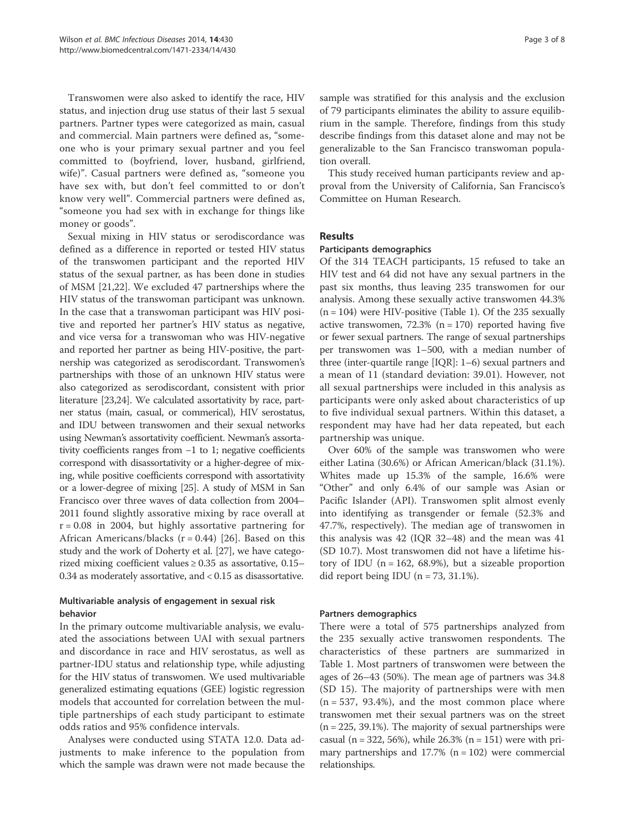Transwomen were also asked to identify the race, HIV status, and injection drug use status of their last 5 sexual partners. Partner types were categorized as main, casual and commercial. Main partners were defined as, "someone who is your primary sexual partner and you feel committed to (boyfriend, lover, husband, girlfriend, wife)". Casual partners were defined as, "someone you have sex with, but don't feel committed to or don't know very well". Commercial partners were defined as, "someone you had sex with in exchange for things like money or goods".

Sexual mixing in HIV status or serodiscordance was defined as a difference in reported or tested HIV status of the transwomen participant and the reported HIV status of the sexual partner, as has been done in studies of MSM [21,22]. We excluded 47 partnerships where the HIV status of the transwoman participant was unknown. In the case that a transwoman participant was HIV positive and reported her partner's HIV status as negative, and vice versa for a transwoman who was HIV-negative and reported her partner as being HIV-positive, the partnership was categorized as serodiscordant. Transwomen's partnerships with those of an unknown HIV status were also categorized as serodiscordant, consistent with prior literature [23,24]. We calculated assortativity by race, partner status (main, casual, or commerical), HIV serostatus, and IDU between transwomen and their sexual networks using Newman's assortativity coefficient. Newman's assortativity coefficients ranges from −1 to 1; negative coefficients correspond with disassortativity or a higher-degree of mixing, while positive coefficients correspond with assortativity or a lower-degree of mixing [25]. A study of MSM in San Francisco over three waves of data collection from 2004– 2011 found slightly assorative mixing by race overall at  $r = 0.08$  in 2004, but highly assortative partnering for African Americans/blacks ( $r = 0.44$ ) [26]. Based on this study and the work of Doherty et al. [27], we have categorized mixing coefficient values  $\geq 0.35$  as assortative, 0.15– 0.34 as moderately assortative, and < 0.15 as disassortative.

## Multivariable analysis of engagement in sexual risk behavior

In the primary outcome multivariable analysis, we evaluated the associations between UAI with sexual partners and discordance in race and HIV serostatus, as well as partner-IDU status and relationship type, while adjusting for the HIV status of transwomen. We used multivariable generalized estimating equations (GEE) logistic regression models that accounted for correlation between the multiple partnerships of each study participant to estimate odds ratios and 95% confidence intervals.

Analyses were conducted using STATA 12.0. Data adjustments to make inference to the population from which the sample was drawn were not made because the sample was stratified for this analysis and the exclusion of 79 participants eliminates the ability to assure equilibrium in the sample. Therefore, findings from this study describe findings from this dataset alone and may not be generalizable to the San Francisco transwoman population overall.

This study received human participants review and approval from the University of California, San Francisco's Committee on Human Research.

### Results

#### Participants demographics

Of the 314 TEACH participants, 15 refused to take an HIV test and 64 did not have any sexual partners in the past six months, thus leaving 235 transwomen for our analysis. Among these sexually active transwomen 44.3%  $(n = 104)$  were HIV-positive (Table 1). Of the 235 sexually active transwomen,  $72.3\%$  (n = 170) reported having five or fewer sexual partners. The range of sexual partnerships per transwomen was 1–500, with a median number of three (inter-quartile range [IQR]: 1–6) sexual partners and a mean of 11 (standard deviation: 39.01). However, not all sexual partnerships were included in this analysis as participants were only asked about characteristics of up to five individual sexual partners. Within this dataset, a respondent may have had her data repeated, but each partnership was unique.

Over 60% of the sample was transwomen who were either Latina (30.6%) or African American/black (31.1%). Whites made up 15.3% of the sample, 16.6% were "Other" and only 6.4% of our sample was Asian or Pacific Islander (API). Transwomen split almost evenly into identifying as transgender or female (52.3% and 47.7%, respectively). The median age of transwomen in this analysis was 42 (IQR 32–48) and the mean was 41 (SD 10.7). Most transwomen did not have a lifetime history of IDU ( $n = 162, 68.9\%$ ), but a sizeable proportion did report being IDU  $(n = 73, 31.1\%)$ .

#### Partners demographics

There were a total of 575 partnerships analyzed from the 235 sexually active transwomen respondents. The characteristics of these partners are summarized in Table 1. Most partners of transwomen were between the ages of 26–43 (50%). The mean age of partners was 34.8 (SD 15). The majority of partnerships were with men  $(n = 537, 93.4\%)$ , and the most common place where transwomen met their sexual partners was on the street  $(n = 225, 39.1\%)$ . The majority of sexual partnerships were casual (n = 322, 56%), while  $26.3\%$  (n = 151) were with primary partnerships and  $17.7\%$  (n = 102) were commercial relationships.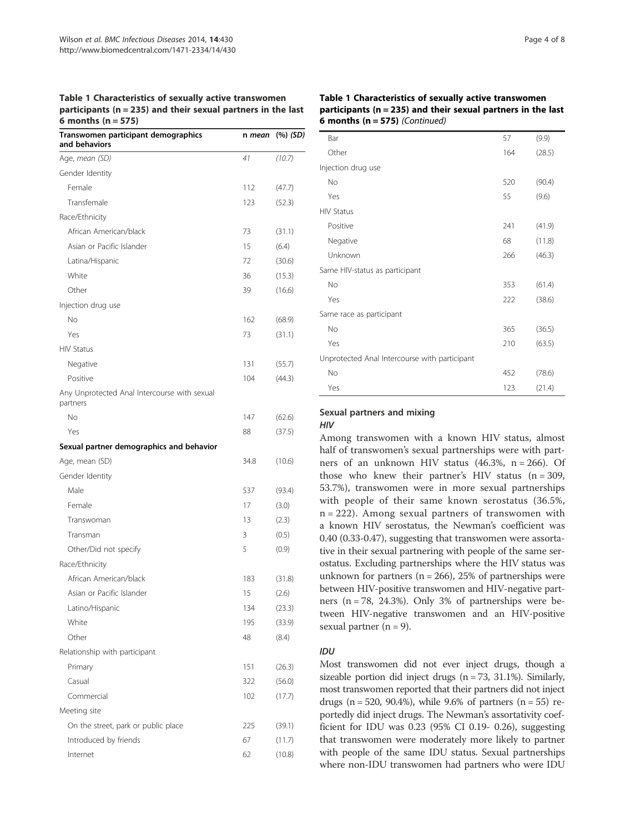Table 1 Characteristics of sexually active transwomen participants ( $n = 235$ ) and their sexual partners in the last 6 months  $(n = 575)$ 

| Transwomen participant demographics<br>and behaviors     | n mean | (%) (SD) |
|----------------------------------------------------------|--------|----------|
| Age, mean (SD)                                           | 41     | (10.7)   |
| Gender Identity                                          |        |          |
| Female                                                   | 112    | (47.7)   |
| Transfemale                                              | 123    | (52.3)   |
| Race/Ethnicity                                           |        |          |
| African American/black                                   | 73     | (31.1)   |
| Asian or Pacific Islander                                | 15     | (6.4)    |
| Latina/Hispanic                                          | 72     | (30.6)   |
| White                                                    | 36     | (15.3)   |
| Other                                                    | 39     | (16.6)   |
| Injection drug use                                       |        |          |
| No                                                       | 162    | (68.9)   |
| Yes                                                      | 73     | (31.1)   |
| <b>HIV Status</b>                                        |        |          |
| Negative                                                 | 131    | (55.7)   |
| Positive                                                 | 104    | (44.3)   |
| Any Unprotected Anal Intercourse with sexual<br>partners |        |          |
| No                                                       | 147    | (62.6)   |
| Yes                                                      | 88     | (37.5)   |
| Sexual partner demographics and behavior                 |        |          |
| Age, mean (SD)                                           | 34.8   | (10.6)   |
| Gender Identity                                          |        |          |
| Male                                                     | 537    | (93.4)   |
| Female                                                   | 17     | (3.0)    |
| Transwoman                                               | 13     | (2.3)    |
| Transman                                                 | 3      | (0.5)    |
| Other/Did not specify                                    | 5      | (0.9)    |
| Race/Ethnicity                                           |        |          |
| African American/black                                   | 183    | (31.8)   |
| Asian or Pacific Islander                                | 15     | (2.6)    |
| Latino/Hispanic                                          | 134    | (23.3)   |
| White                                                    | 195    | (33.9)   |
| Other                                                    | 48     | (8.4)    |
| Relationship with participant                            |        |          |
| Primary                                                  | 151    | (26.3)   |
| Casual                                                   | 322    | (56.0)   |
| Commercial                                               | 102    | (17.7)   |
| Meeting site                                             |        |          |
| On the street, park or public place                      | 225    | (39.1)   |
| Introduced by friends                                    | 67     | (11.7)   |
| Internet                                                 | 62     | (10.8)   |

#### Table 1 Characteristics of sexually active transwomen participants ( $n = 235$ ) and their sexual partners in the last 6 months ( $n = 575$ ) (Continued)

| Bar                                           | 57  | (9.9)  |
|-----------------------------------------------|-----|--------|
| Other                                         | 164 | (28.5) |
| Injection drug use                            |     |        |
| No                                            | 520 | (90.4) |
| Yes                                           | 55  | (9.6)  |
| <b>HIV Status</b>                             |     |        |
| Positive                                      | 241 | (41.9) |
| Negative                                      | 68  | (11.8) |
| Unknown                                       | 266 | (46.3) |
| Same HIV-status as participant                |     |        |
| No                                            | 353 | (61.4) |
| Yes                                           | 222 | (38.6) |
| Same race as participant                      |     |        |
| No                                            | 365 | (36.5) |
| Yes                                           | 210 | (63.5) |
| Unprotected Anal Intercourse with participant |     |        |
| No                                            | 452 | (78.6) |
| Yes                                           | 123 | (21.4) |

## Sexual partners and mixing

## HIV

Among transwomen with a known HIV status, almost half of transwomen's sexual partnerships were with partners of an unknown HIV status  $(46.3\% , n = 266)$ . Of those who knew their partner's HIV status  $(n = 309,$ 53.7%), transwomen were in more sexual partnerships with people of their same known serostatus (36.5%, n = 222). Among sexual partners of transwomen with a known HIV serostatus, the Newman's coefficient was 0.40 (0.33-0.47), suggesting that transwomen were assortative in their sexual partnering with people of the same serostatus. Excluding partnerships where the HIV status was unknown for partners ( $n = 266$ ), 25% of partnerships were between HIV-positive transwomen and HIV-negative partners ( $n = 78$ , 24.3%). Only 3% of partnerships were between HIV-negative transwomen and an HIV-positive sexual partner  $(n = 9)$ .

### IDU

Most transwomen did not ever inject drugs, though a sizeable portion did inject drugs  $(n = 73, 31.1\%)$ . Similarly, most transwomen reported that their partners did not inject drugs ( $n = 520$ , 90.4%), while 9.6% of partners ( $n = 55$ ) reportedly did inject drugs. The Newman's assortativity coefficient for IDU was 0.23 (95% CI 0.19- 0.26), suggesting that transwomen were moderately more likely to partner with people of the same IDU status. Sexual partnerships where non-IDU transwomen had partners who were IDU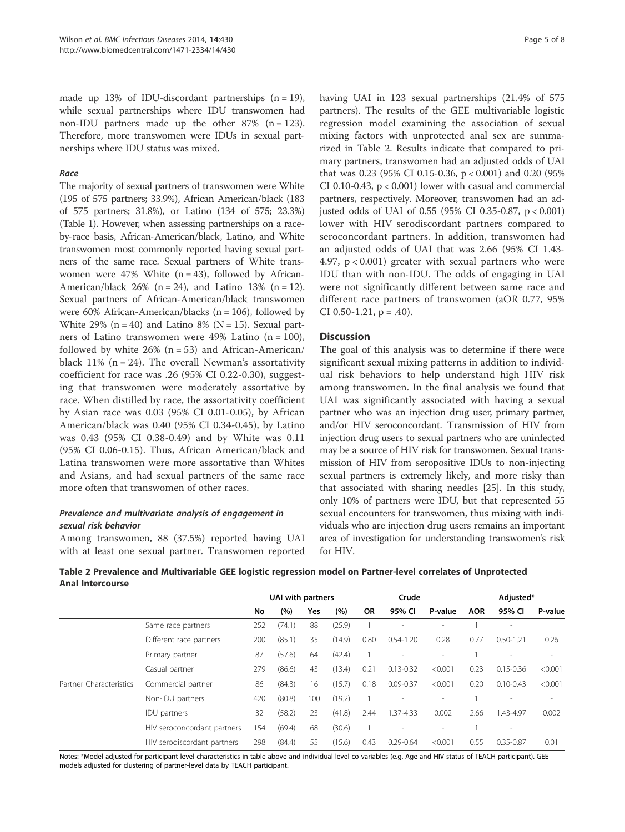made up 13% of IDU-discordant partnerships  $(n = 19)$ , while sexual partnerships where IDU transwomen had non-IDU partners made up the other  $87\%$  (n = 123). Therefore, more transwomen were IDUs in sexual partnerships where IDU status was mixed.

#### Race

The majority of sexual partners of transwomen were White (195 of 575 partners; 33.9%), African American/black (183 of 575 partners; 31.8%), or Latino (134 of 575; 23.3%) (Table 1). However, when assessing partnerships on a raceby-race basis, African-American/black, Latino, and White transwomen most commonly reported having sexual partners of the same race. Sexual partners of White transwomen were 47% White  $(n = 43)$ , followed by African-American/black 26% (n = 24), and Latino 13% (n = 12). Sexual partners of African-American/black transwomen were 60% African-American/blacks ( $n = 106$ ), followed by White 29% ( $n = 40$ ) and Latino 8% ( $N = 15$ ). Sexual partners of Latino transwomen were 49% Latino  $(n = 100)$ , followed by white  $26\%$  (n = 53) and African-American/ black  $11\%$  (n = 24). The overall Newman's assortativity coefficient for race was .26 (95% CI 0.22-0.30), suggesting that transwomen were moderately assortative by race. When distilled by race, the assortativity coefficient by Asian race was 0.03 (95% CI 0.01-0.05), by African American/black was 0.40 (95% CI 0.34-0.45), by Latino was 0.43 (95% CI 0.38-0.49) and by White was 0.11 (95% CI 0.06-0.15). Thus, African American/black and Latina transwomen were more assortative than Whites and Asians, and had sexual partners of the same race more often that transwomen of other races.

### Prevalence and multivariate analysis of engagement in sexual risk behavior

Among transwomen, 88 (37.5%) reported having UAI with at least one sexual partner. Transwomen reported having UAI in 123 sexual partnerships (21.4% of 575 partners). The results of the GEE multivariable logistic regression model examining the association of sexual mixing factors with unprotected anal sex are summarized in Table 2. Results indicate that compared to primary partners, transwomen had an adjusted odds of UAI that was 0.23 (95% CI 0.15-0.36, p < 0.001) and 0.20 (95% CI 0.10-0.43,  $p < 0.001$ ) lower with casual and commercial partners, respectively. Moreover, transwomen had an adjusted odds of UAI of 0.55 (95% CI 0.35-0.87, p < 0.001) lower with HIV serodiscordant partners compared to seroconcordant partners. In addition, transwomen had an adjusted odds of UAI that was 2.66 (95% CI 1.43- 4.97,  $p < 0.001$ ) greater with sexual partners who were IDU than with non-IDU. The odds of engaging in UAI were not significantly different between same race and different race partners of transwomen (aOR 0.77, 95% CI 0.50-1.21,  $p = .40$ ).

#### Discussion

The goal of this analysis was to determine if there were significant sexual mixing patterns in addition to individual risk behaviors to help understand high HIV risk among transwomen. In the final analysis we found that UAI was significantly associated with having a sexual partner who was an injection drug user, primary partner, and/or HIV seroconcordant. Transmission of HIV from injection drug users to sexual partners who are uninfected may be a source of HIV risk for transwomen. Sexual transmission of HIV from seropositive IDUs to non-injecting sexual partners is extremely likely, and more risky than that associated with sharing needles [25]. In this study, only 10% of partners were IDU, but that represented 55 sexual encounters for transwomen, thus mixing with individuals who are injection drug users remains an important area of investigation for understanding transwomen's risk for HIV.

| Table 2 Prevalence and Multivariable GEE logistic regression model on Partner-level correlates of Unprotected |  |  |  |
|---------------------------------------------------------------------------------------------------------------|--|--|--|
| <b>Anal Intercourse</b>                                                                                       |  |  |  |

|                         |                             | UAI with partners |        | Crude |        |              | Adjusted*     |                          |            |                          |         |
|-------------------------|-----------------------------|-------------------|--------|-------|--------|--------------|---------------|--------------------------|------------|--------------------------|---------|
|                         |                             | No                | (%)    | Yes   | (%)    | <b>OR</b>    | 95% CI        | P-value                  | <b>AOR</b> | 95% CI                   | P-value |
| Partner Characteristics | Same race partners          | 252               | (74.1) | 88    | (25.9) |              |               | ٠                        |            | $\overline{\phantom{a}}$ |         |
|                         | Different race partners     | 200               | (85.1) | 35    | (14.9) | 0.80         | $0.54 - 1.20$ | 0.28                     | 0.77       | $0.50 - 1.21$            | 0.26    |
|                         | Primary partner             | 87                | (57.6) | 64    | (42.4) | $\mathbf{1}$ |               |                          |            |                          |         |
|                         | Casual partner              | 279               | (86.6) | 43    | (13.4) | 0.21         | $0.13 - 0.32$ | < 0.001                  | 0.23       | $0.15 - 0.36$            | < 0.001 |
|                         | Commercial partner          | 86                | (84.3) | 16    | (15.7) | 0.18         | $0.09 - 0.37$ | < 0.001                  | 0.20       | $0.10 - 0.43$            | < 0.001 |
|                         | Non-IDU partners            | 420               | (80.8) | 100   | (19.2) |              |               |                          |            |                          |         |
|                         | <b>IDU</b> partners         | 32                | (58.2) | 23    | (41.8) | 2.44         | 1.37-4.33     | 0.002                    | 2.66       | 1.43-4.97                | 0.002   |
|                         | HIV seroconcordant partners | 154               | (69.4) | 68    | (30.6) |              |               | $\overline{\phantom{a}}$ |            | $\overline{\phantom{a}}$ |         |
|                         | HIV serodiscordant partners | 298               | (84.4) | 55    | (15.6) | 0.43         | $0.29 - 0.64$ | < 0.001                  | 0.55       | $0.35 - 0.87$            | 0.01    |

Notes: \*Model adjusted for participant-level characteristics in table above and individual-level co-variables (e.g. Age and HIV-status of TEACH participant). GEE models adjusted for clustering of partner-level data by TEACH participant.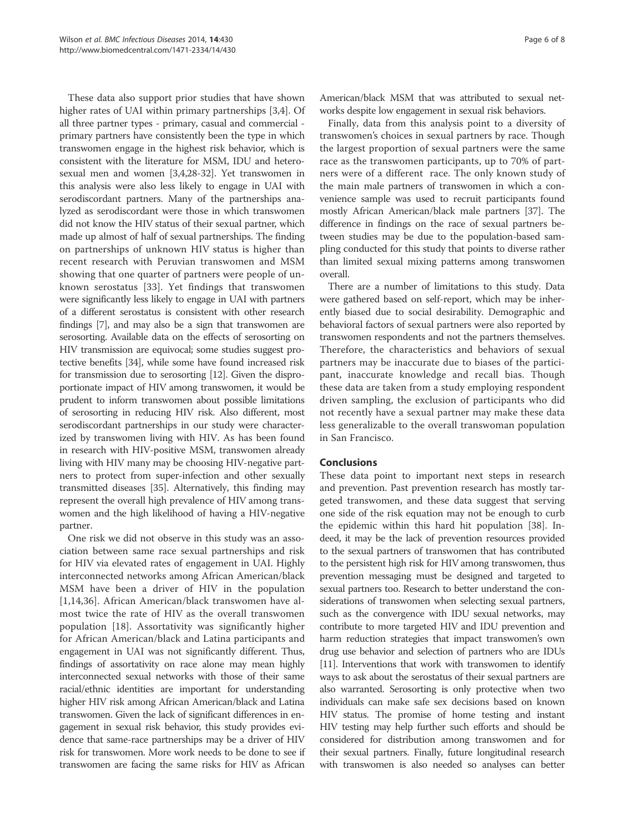These data also support prior studies that have shown higher rates of UAI within primary partnerships [3,4]. Of all three partner types - primary, casual and commercial primary partners have consistently been the type in which transwomen engage in the highest risk behavior, which is consistent with the literature for MSM, IDU and heterosexual men and women [3,4,28-32]. Yet transwomen in this analysis were also less likely to engage in UAI with serodiscordant partners. Many of the partnerships analyzed as serodiscordant were those in which transwomen did not know the HIV status of their sexual partner, which made up almost of half of sexual partnerships. The finding on partnerships of unknown HIV status is higher than recent research with Peruvian transwomen and MSM showing that one quarter of partners were people of unknown serostatus [33]. Yet findings that transwomen were significantly less likely to engage in UAI with partners of a different serostatus is consistent with other research findings [7], and may also be a sign that transwomen are serosorting. Available data on the effects of serosorting on HIV transmission are equivocal; some studies suggest protective benefits [34], while some have found increased risk for transmission due to serosorting [12]. Given the disproportionate impact of HIV among transwomen, it would be prudent to inform transwomen about possible limitations of serosorting in reducing HIV risk. Also different, most serodiscordant partnerships in our study were characterized by transwomen living with HIV. As has been found in research with HIV-positive MSM, transwomen already living with HIV many may be choosing HIV-negative partners to protect from super-infection and other sexually transmitted diseases [35]. Alternatively, this finding may represent the overall high prevalence of HIV among transwomen and the high likelihood of having a HIV-negative partner.

One risk we did not observe in this study was an association between same race sexual partnerships and risk for HIV via elevated rates of engagement in UAI. Highly interconnected networks among African American/black MSM have been a driver of HIV in the population [1,14,36]. African American/black transwomen have almost twice the rate of HIV as the overall transwomen population [18]. Assortativity was significantly higher for African American/black and Latina participants and engagement in UAI was not significantly different. Thus, findings of assortativity on race alone may mean highly interconnected sexual networks with those of their same racial/ethnic identities are important for understanding higher HIV risk among African American/black and Latina transwomen. Given the lack of significant differences in engagement in sexual risk behavior, this study provides evidence that same-race partnerships may be a driver of HIV risk for transwomen. More work needs to be done to see if transwomen are facing the same risks for HIV as African

American/black MSM that was attributed to sexual networks despite low engagement in sexual risk behaviors.

Finally, data from this analysis point to a diversity of transwomen's choices in sexual partners by race. Though the largest proportion of sexual partners were the same race as the transwomen participants, up to 70% of partners were of a different race. The only known study of the main male partners of transwomen in which a convenience sample was used to recruit participants found mostly African American/black male partners [37]. The difference in findings on the race of sexual partners between studies may be due to the population-based sampling conducted for this study that points to diverse rather than limited sexual mixing patterns among transwomen overall.

There are a number of limitations to this study. Data were gathered based on self-report, which may be inherently biased due to social desirability. Demographic and behavioral factors of sexual partners were also reported by transwomen respondents and not the partners themselves. Therefore, the characteristics and behaviors of sexual partners may be inaccurate due to biases of the participant, inaccurate knowledge and recall bias. Though these data are taken from a study employing respondent driven sampling, the exclusion of participants who did not recently have a sexual partner may make these data less generalizable to the overall transwoman population in San Francisco.

#### Conclusions

These data point to important next steps in research and prevention. Past prevention research has mostly targeted transwomen, and these data suggest that serving one side of the risk equation may not be enough to curb the epidemic within this hard hit population [38]. Indeed, it may be the lack of prevention resources provided to the sexual partners of transwomen that has contributed to the persistent high risk for HIV among transwomen, thus prevention messaging must be designed and targeted to sexual partners too. Research to better understand the considerations of transwomen when selecting sexual partners, such as the convergence with IDU sexual networks, may contribute to more targeted HIV and IDU prevention and harm reduction strategies that impact transwomen's own drug use behavior and selection of partners who are IDUs [11]. Interventions that work with transwomen to identify ways to ask about the serostatus of their sexual partners are also warranted. Serosorting is only protective when two individuals can make safe sex decisions based on known HIV status. The promise of home testing and instant HIV testing may help further such efforts and should be considered for distribution among transwomen and for their sexual partners. Finally, future longitudinal research with transwomen is also needed so analyses can better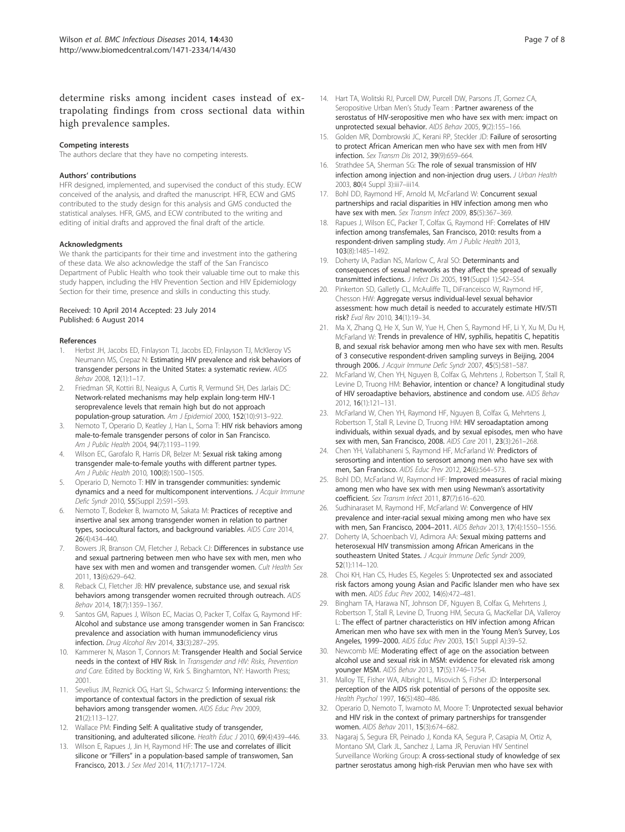determine risks among incident cases instead of extrapolating findings from cross sectional data within high prevalence samples.

#### Competing interests

The authors declare that they have no competing interests.

#### Authors' contributions

HFR designed, implemented, and supervised the conduct of this study. ECW conceived of the analysis, and drafted the manuscript. HFR, ECW and GMS contributed to the study design for this analysis and GMS conducted the statistical analyses. HFR, GMS, and ECW contributed to the writing and editing of initial drafts and approved the final draft of the article.

#### Acknowledgments

We thank the participants for their time and investment into the gathering of these data. We also acknowledge the staff of the San Francisco Department of Public Health who took their valuable time out to make this study happen, including the HIV Prevention Section and HIV Epidemiology Section for their time, presence and skills in conducting this study.

#### Received: 10 April 2014 Accepted: 23 July 2014 Published: 6 August 2014

#### References

- 1. Herbst JH, Jacobs ED, Finlayson TJ, Jacobs ED, Finlayson TJ, McKleroy VS Neumann MS, Crepaz N: Estimating HIV prevalence and risk behaviors of transgender persons in the United States: a systematic review. AIDS Behav 2008, 12(1):1–17.
- 2. Friedman SR, Kottiri BJ, Neaigus A, Curtis R, Vermund SH, Des Jarlais DC: Network-related mechanisms may help explain long-term HIV-1 seroprevalence levels that remain high but do not approach population-group saturation. Am J Epidemiol 2000, 152(10):913–922.
- 3. Nemoto T, Operario D, Keatley J, Han L, Soma T: HIV risk behaviors among male-to-female transgender persons of color in San Francisco. Am J Public Health 2004, 94(7):1193–1199.
- 4. Wilson EC, Garofalo R, Harris DR, Belzer M: Sexual risk taking among transgender male-to-female youths with different partner types. Am J Public Health 2010, 100(8):1500–1505.
- Operario D, Nemoto T: HIV in transgender communities: syndemic dynamics and a need for multicomponent interventions. J Acquir Immune Defic Syndr 2010, 55(Suppl 2):S91–S93.
- 6. Nemoto T, Bodeker B, Iwamoto M, Sakata M: Practices of receptive and insertive anal sex among transgender women in relation to partner types, sociocultural factors, and background variables. AIDS Care 2014, 26(4):434–440.
- Bowers JR, Branson CM, Fletcher J, Reback CJ: Differences in substance use and sexual partnering between men who have sex with men, men who have sex with men and women and transgender women. Cult Health Sex 2011, 13(6):629–642.
- Reback CJ, Fletcher JB: HIV prevalence, substance use, and sexual risk behaviors among transgender women recruited through outreach. AIDS Behav 2014, 18(7):1359–1367.
- Santos GM, Rapues J, Wilson EC, Macias O, Packer T, Colfax G, Raymond HF: Alcohol and substance use among transgender women in San Francisco: prevalence and association with human immunodeficiency virus infection. Drug Alcohol Rev 2014, 33(3):287–295.
- 10. Kammerer N, Mason T, Connors M: Transgender Health and Social Service needs in the context of HIV Risk. In Transgender and HIV: Risks, Prevention and Care. Edited by Bockting W, Kirk S. Binghamton, NY: Haworth Press; 2001.
- 11. Sevelius JM, Reznick OG, Hart SL, Schwarcz S: Informing interventions: the importance of contextual factors in the prediction of sexual risk behaviors among transgender women. AIDS Educ Prev 2009, 21(2):113–127.
- 12. Wallace PM: Finding Self: A qualitative study of transgender, transitioning, and adulterated silicone. Health Educ J 2010, 69(4):439–446.
- 13. Wilson E, Rapues J, Jin H, Raymond HF: The use and correlates of illicit silicone or "Fillers" in a population-based sample of transwomen, San Francisco, 2013. J Sex Med 2014, 11(7):1717–1724.
- 14. Hart TA, Wolitski RJ, Purcell DW, Purcell DW, Parsons JT, Gomez CA, Seropositive Urban Men's Study Team : Partner awareness of the serostatus of HIV-seropositive men who have sex with men: impact on unprotected sexual behavior. AIDS Behav 2005, 9(2):155–166.
- 15. Golden MR, Dombrowski JC, Kerani RP, Steckler JD: Failure of serosorting to protect African American men who have sex with men from HIV infection. Sex Transm Dis 2012, 39(9):659–664.
- 16. Strathdee SA, Sherman SG: The role of sexual transmission of HIV infection among injection and non-injection drug users. J Urban Health 2003, 80(4 Suppl 3):iii7–iii14.
- 17. Bohl DD, Raymond HF, Arnold M, McFarland W: Concurrent sexual partnerships and racial disparities in HIV infection among men who have sex with men. Sex Transm Infect 2009, 85(5):367-369.
- 18. Rapues J, Wilson EC, Packer T, Colfax G, Raymond HF: Correlates of HIV infection among transfemales, San Francisco, 2010: results from a respondent-driven sampling study. Am J Public Health 2013, 103(8):1485–1492.
- 19. Doherty IA, Padian NS, Marlow C, Aral SO: Determinants and consequences of sexual networks as they affect the spread of sexually transmitted infections. J Infect Dis 2005, 191(Suppl 1):S42-S54.
- 20. Pinkerton SD, Galletly CL, McAuliffe TL, DiFranceisco W, Raymond HF, Chesson HW: Aggregate versus individual-level sexual behavior assessment: how much detail is needed to accurately estimate HIV/STI risk? Eval Rev 2010, 34(1):19–34.
- 21. Ma X, Zhang Q, He X, Sun W, Yue H, Chen S, Raymond HF, Li Y, Xu M, Du H, McFarland W: Trends in prevalence of HIV, syphilis, hepatitis C, hepatitis B, and sexual risk behavior among men who have sex with men. Results of 3 consecutive respondent-driven sampling surveys in Beijing, 2004 through 2006. J Acquir Immune Defic Syndr 2007, 45(5):581–587.
- 22. McFarland W, Chen YH, Nguyen B, Colfax G, Mehrtens J, Robertson T, Stall R, Levine D, Truong HM: Behavior, intention or chance? A longitudinal study of HIV seroadaptive behaviors, abstinence and condom use. AIDS Behav 2012, 16(1):121–131.
- 23. McFarland W, Chen YH, Raymond HF, Nguyen B, Colfax G, Mehrtens J, Robertson T, Stall R, Levine D, Truong HM: HIV seroadaptation among individuals, within sexual dyads, and by sexual episodes, men who have sex with men, San Francisco, 2008. AIDS Care 2011, 23(3):261–268.
- 24. Chen YH, Vallabhaneni S, Raymond HF, McFarland W: Predictors of serosorting and intention to serosort among men who have sex with men, San Francisco. AIDS Educ Prev 2012, 24(6):564–573.
- 25. Bohl DD, McFarland W, Raymond HF: Improved measures of racial mixing among men who have sex with men using Newman's assortativity coefficient. Sex Transm Infect 2011, 87(7):616–620.
- 26. Sudhinaraset M, Raymond HF, McFarland W: Convergence of HIV prevalence and inter-racial sexual mixing among men who have sex with men, San Francisco, 2004–2011. AIDS Behav 2013, 17(4):1550–1556.
- 27. Doherty IA, Schoenbach VJ, Adimora AA: Sexual mixing patterns and heterosexual HIV transmission among African Americans in the southeastern United States. J Acquir Immune Defic Syndr 2009, 52(1):114–120.
- 28. Choi KH, Han CS, Hudes ES, Kegeles S: Unprotected sex and associated risk factors among young Asian and Pacific Islander men who have sex with men. AIDS Educ Prev 2002, 14(6):472–481.
- Bingham TA, Harawa NT, Johnson DF, Nguyen B, Colfax G, Mehrtens J, Robertson T, Stall R, Levine D, Truong HM, Secura G, MacKellar DA, Valleroy L: The effect of partner characteristics on HIV infection among African American men who have sex with men in the Young Men's Survey, Los Angeles, 1999–2000. AIDS Educ Prev 2003, 15(1 Suppl A):39–52.
- 30. Newcomb ME: Moderating effect of age on the association between alcohol use and sexual risk in MSM: evidence for elevated risk among younger MSM. AIDS Behav 2013, 17(5):1746–1754.
- 31. Malloy TE, Fisher WA, Albright L, Misovich S, Fisher JD: Interpersonal perception of the AIDS risk potential of persons of the opposite sex. Health Psychol 1997, 16(5):480-486.
- 32. Operario D, Nemoto T, Iwamoto M, Moore T: Unprotected sexual behavior and HIV risk in the context of primary partnerships for transgender women. AIDS Behav 2011, 15(3):674–682.
- 33. Nagaraj S, Segura ER, Peinado J, Konda KA, Segura P, Casapia M, Ortiz A, Montano SM, Clark JL, Sanchez J, Lama JR, Peruvian HIV Sentinel Surveillance Working Group: A cross-sectional study of knowledge of sex partner serostatus among high-risk Peruvian men who have sex with